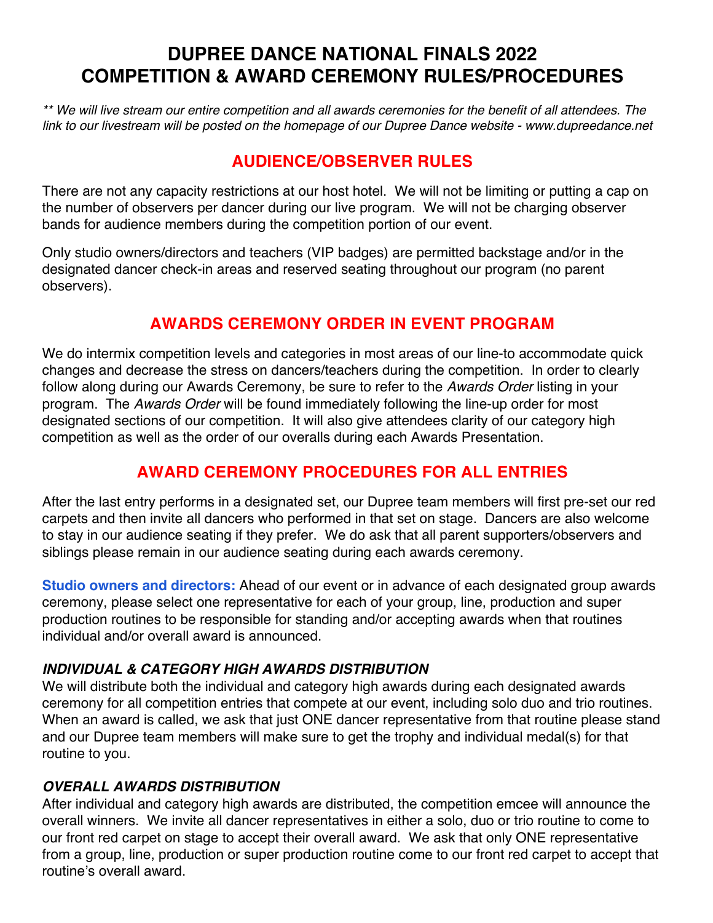# **DUPREE DANCE NATIONAL FINALS 2022 COMPETITION & AWARD CEREMONY RULES/PROCEDURES**

*\*\* We will live stream our entire competition and all awards ceremonies for the benefit of all attendees. The link to our livestream will be posted on the homepage of our Dupree Dance website - www.dupreedance.net*

### **AUDIENCE/OBSERVER RULES**

There are not any capacity restrictions at our host hotel. We will not be limiting or putting a cap on the number of observers per dancer during our live program. We will not be charging observer bands for audience members during the competition portion of our event.

Only studio owners/directors and teachers (VIP badges) are permitted backstage and/or in the designated dancer check-in areas and reserved seating throughout our program (no parent observers).

### **AWARDS CEREMONY ORDER IN EVENT PROGRAM**

We do intermix competition levels and categories in most areas of our line-to accommodate quick changes and decrease the stress on dancers/teachers during the competition. In order to clearly follow along during our Awards Ceremony, be sure to refer to the *Awards Order* listing in your program. The *Awards Order* will be found immediately following the line-up order for most designated sections of our competition. It will also give attendees clarity of our category high competition as well as the order of our overalls during each Awards Presentation.

## **AWARD CEREMONY PROCEDURES FOR ALL ENTRIES**

After the last entry performs in a designated set, our Dupree team members will first pre-set our red carpets and then invite all dancers who performed in that set on stage. Dancers are also welcome to stay in our audience seating if they prefer. We do ask that all parent supporters/observers and siblings please remain in our audience seating during each awards ceremony.

**Studio owners and directors:** Ahead of our event or in advance of each designated group awards ceremony, please select one representative for each of your group, line, production and super production routines to be responsible for standing and/or accepting awards when that routines individual and/or overall award is announced.

#### *INDIVIDUAL & CATEGORY HIGH AWARDS DISTRIBUTION*

We will distribute both the individual and category high awards during each designated awards ceremony for all competition entries that compete at our event, including solo duo and trio routines. When an award is called, we ask that just ONE dancer representative from that routine please stand and our Dupree team members will make sure to get the trophy and individual medal(s) for that routine to you.

#### *OVERALL AWARDS DISTRIBUTION*

After individual and category high awards are distributed, the competition emcee will announce the overall winners. We invite all dancer representatives in either a solo, duo or trio routine to come to our front red carpet on stage to accept their overall award. We ask that only ONE representative from a group, line, production or super production routine come to our front red carpet to accept that routine's overall award.